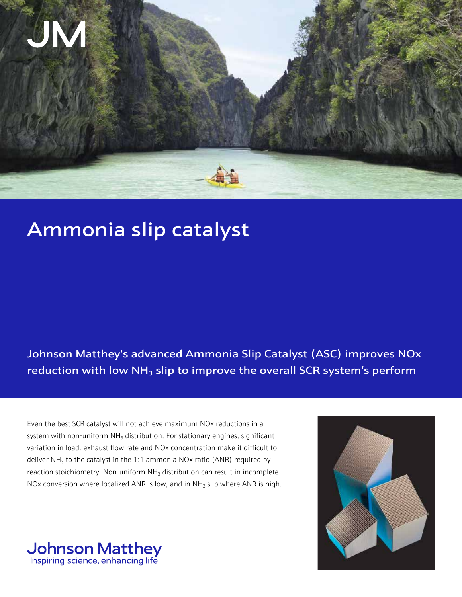

# Ammonia slip catalyst

# Johnson Matthey's advanced Ammonia Slip Catalyst (ASC) improves NOx reduction with low  $NH<sub>3</sub>$  slip to improve the overall SCR system's perform

Even the best SCR catalyst will not achieve maximum NOx reductions in a system with non-uniform  $NH<sub>3</sub>$  distribution. For stationary engines, significant variation in load, exhaust flow rate and NOx concentration make it difficult to deliver  $NH<sub>3</sub>$  to the catalyst in the 1:1 ammonia NOx ratio (ANR) required by reaction stoichiometry. Non-uniform  $NH<sub>3</sub>$  distribution can result in incomplete NOx conversion where localized ANR is low, and in NH<sub>3</sub> slip where ANR is high.